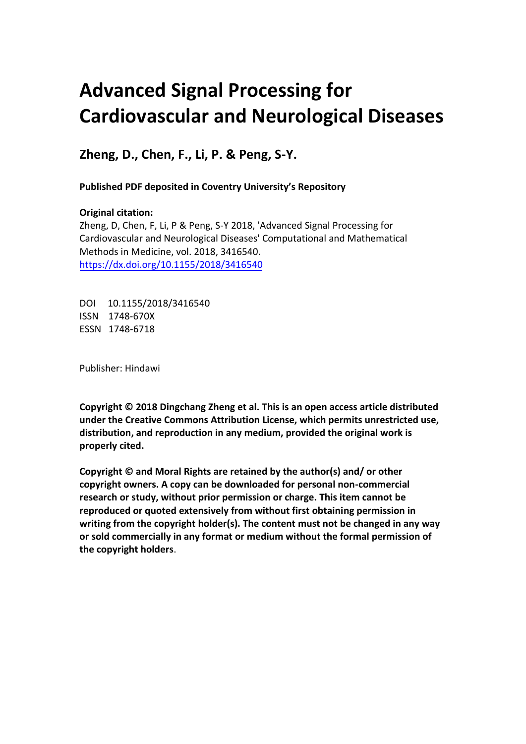## **Advanced Signal Processing for Cardiovascular and Neurological Diseases**

**Zheng, D., Chen, F., Li, P. & Peng, S-Y.** 

 **Published PDF deposited in Coventry University's Repository** 

## **Original citation:**

 Zheng, D, Chen, F, Li, P & Peng, S-Y 2018, 'Advanced Signal Processing for Methods in Medicine, vol. 2018, 3416540. Cardiovascular and Neurological Diseases' Computational and Mathematical https://dx.doi.org/10.1155/2018/3416540

 DOI 10.1155/2018/3416540 ISSN 1748-670X ESSN 1748-6718

Publisher: Hindawi

 **Copyright © 2018 Dingchang Zheng et al. This is an open access article distributed under the Creative Commons Attribution License, which permits unrestricted use, distribution, and reproduction in any medium, provided the original work is properly cited.** 

 **Copyright © and Moral Rights are retained by the author(s) and/ or other copyright owners. A copy can be downloaded for personal non-commercial research or study, without prior permission or charge. This item cannot be reproduced or quoted extensively from without first obtaining permission in writing from the copyright holder(s). The content must not be changed in any way or sold commercially in any format or medium without the formal permission of the copyright holders**.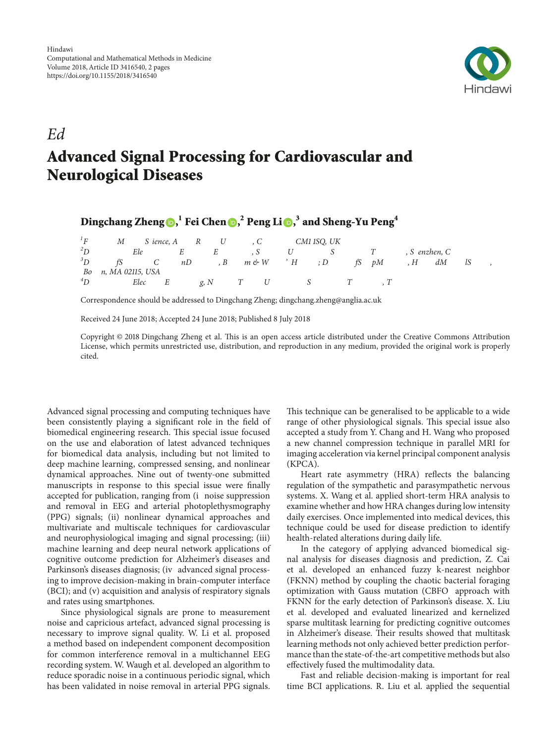

 $Ed$ 

## **Advanced Signal Processing for Cardiovascular and Neurological Diseases**

Dingchang Zheng  $\mathbf{D}$ , Fei Chen  $\mathbf{D}$ , Peng Li $\mathbf{D}$ , and Sheng-Yu Peng<sup>4</sup>

| ${}^{1}F$          | M Sience, A R U , C                       |        |  |              |  |  | CM1 ISO, UK |  |               |  |  |  |
|--------------------|-------------------------------------------|--------|--|--------------|--|--|-------------|--|---------------|--|--|--|
| $^{2}D$            | Ele                                       |        |  | $E$ $E$      |  |  | $U$ S       |  | , S enzhen, C |  |  |  |
|                    | ${}^{3}D$ fS C nD , B m & W ' H ; D fS pM |        |  |              |  |  |             |  | $, H$ dM      |  |  |  |
|                    | Bo n, MA 02115, USA                       |        |  |              |  |  |             |  |               |  |  |  |
| $\boldsymbol{^4D}$ |                                           | Elec E |  | $g, N$ T U S |  |  |             |  |               |  |  |  |

Correspondence should be addressed to Dingchang Zheng; dingchang.zheng@anglia.ac.uk

Received 24 June 2018; Accepted 24 June 2018; Published 8 July 2018

Copyright @ 2018 Dingchang Zheng et al. This is an open access article distributed under the Creative Commons Attribution License, which permits unrestricted use, distribution, and reproduction in any medium, provided the original work is properly cited.

Advanced signal processing and computing techniques have been consistently playing a significant role in the field of biomedical engineering research. This special issue focused on the use and elaboration of latest advanced techniques for biomedical data analysis, including but not limited to deep machine learning, compressed sensing, and nonlinear dynamical approaches. Nine out of twenty-one submitted manuscripts in response to this special issue were finally accepted for publication, ranging from (i noise suppression and removal in EEG and arterial photoplethysmography (PPG) signals; (ii) nonlinear dynamical approaches and multivariate and multiscale techniques for cardiovascular and neurophysiological imaging and signal processing; (iii) machine learning and deep neural network applications of cognitive outcome prediction for Alzheimer's diseases and Parkinson's diseases diagnosis; (iv advanced signal processing to improve decision-making in brain-computer interface (BCI); and (v) acquisition and analysis of respiratory signals and rates using smartphones.

Since physiological signals are prone to measurement noise and capricious artefact, advanced signal processing is necessary to improve signal quality. W. Li et al. proposed a method based on independent component decomposition for common interference removal in a multichannel EEG recording system. W. Waugh et al. developed an algorithm to reduce sporadic noise in a continuous periodic signal, which has been validated in noise removal in arterial PPG signals.

This technique can be generalised to be applicable to a wide range of other physiological signals. This special issue also accepted a study from Y. Chang and H. Wang who proposed a new channel compression technique in parallel MRI for imaging acceleration via kernel principal component analysis (KPCA).

Heart rate asymmetry (HRA) reflects the balancing regulation of the sympathetic and parasympathetic nervous systems. X. Wang et al. applied short-term HRA analysis to examine whether and how HRA changes during low intensity daily exercises. Once implemented into medical devices, this technique could be used for disease prediction to identify health-related alterations during daily life.

In the category of applying advanced biomedical signal analysis for diseases diagnosis and prediction, Z. Cai et al. developed an enhanced fuzzy k-nearest neighbor (FKNN) method by coupling the chaotic bacterial foraging optimization with Gauss mutation (CBFO approach with FKNN for the early detection of Parkinson's disease. X. Liu et al. developed and evaluated linearized and kernelized sparse multitask learning for predicting cognitive outcomes in Alzheimer's disease. Their results showed that multitask learning methods not only achieved better prediction performance than the state-of-the-art competitive methods but also effectively fused the multimodality data.

Fast and reliable decision-making is important for real time BCI applications. R. Liu et al. applied the sequential